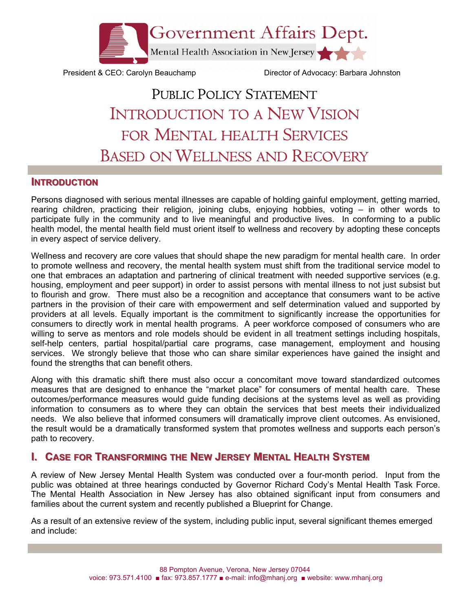

President & CEO: Carolyn Beauchamp Director of Advocacy: Barbara Johnston

# PUBLIC POLICY STATEMENT INTRODUCTION TO A NEW VISION FOR MENTAL HEALTH SERVICES BASED ON WELLNESS AND RECOVERY

#### **INTRODUCTION**

Persons diagnosed with serious mental illnesses are capable of holding gainful employment, getting married, rearing children, practicing their religion, joining clubs, enjoying hobbies, voting – in other words to participate fully in the community and to live meaningful and productive lives. In conforming to a public health model, the mental health field must orient itself to wellness and recovery by adopting these concepts in every aspect of service delivery.

Wellness and recovery are core values that should shape the new paradigm for mental health care. In order to promote wellness and recovery, the mental health system must shift from the traditional service model to one that embraces an adaptation and partnering of clinical treatment with needed supportive services (e.g. housing, employment and peer support) in order to assist persons with mental illness to not just subsist but to flourish and grow. There must also be a recognition and acceptance that consumers want to be active partners in the provision of their care with empowerment and self determination valued and supported by providers at all levels. Equally important is the commitment to significantly increase the opportunities for consumers to directly work in mental health programs. A peer workforce composed of consumers who are willing to serve as mentors and role models should be evident in all treatment settings including hospitals, self-help centers, partial hospital/partial care programs, case management, employment and housing services. We strongly believe that those who can share similar experiences have gained the insight and found the strengths that can benefit others.

Along with this dramatic shift there must also occur a concomitant move toward standardized outcomes measures that are designed to enhance the "market place" for consumers of mental health care. These outcomes/performance measures would guide funding decisions at the systems level as well as providing information to consumers as to where they can obtain the services that best meets their individualized needs. We also believe that informed consumers will dramatically improve client outcomes. As envisioned, the result would be a dramatically transformed system that promotes wellness and supports each person's path to recovery.

# **CASE FOR TRANSFORMING THE NEW JERSEY MENTAL HEALTH SYSTEM**

A review of New Jersey Mental Health System was conducted over a four-month period. Input from the public was obtained at three hearings conducted by Governor Richard Cody's Mental Health Task Force. The Mental Health Association in New Jersey has also obtained significant input from consumers and families about the current system and recently published a Blueprint for Change.

As a result of an extensive review of the system, including public input, several significant themes emerged and include: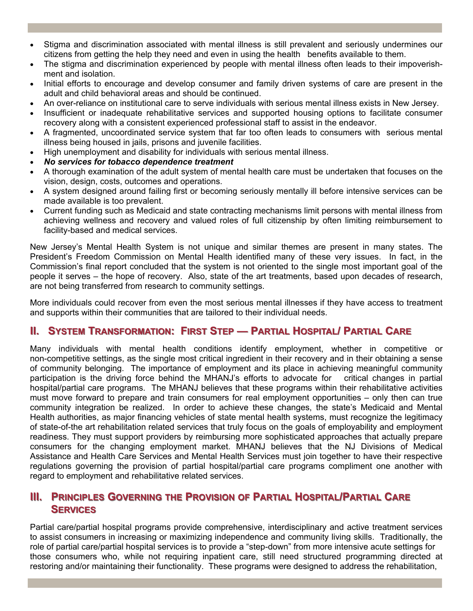- Stigma and discrimination associated with mental illness is still prevalent and seriously undermines our citizens from getting the help they need and even in using the health benefits available to them.
- The stigma and discrimination experienced by people with mental illness often leads to their impoverishment and isolation.
- Initial efforts to encourage and develop consumer and family driven systems of care are present in the adult and child behavioral areas and should be continued.
- An over-reliance on institutional care to serve individuals with serious mental illness exists in New Jersey.
- Insufficient or inadequate rehabilitative services and supported housing options to facilitate consumer recovery along with a consistent experienced professional staff to assist in the endeavor.
- A fragmented, uncoordinated service system that far too often leads to consumers with serious mental illness being housed in jails, prisons and juvenile facilities.
- High unemployment and disability for individuals with serious mental illness.
- *No services for tobacco dependence treatment*
- A thorough examination of the adult system of mental health care must be undertaken that focuses on the vision, design, costs, outcomes and operations.
- A system designed around failing first or becoming seriously mentally ill before intensive services can be made available is too prevalent.
- Current funding such as Medicaid and state contracting mechanisms limit persons with mental illness from achieving wellness and recovery and valued roles of full citizenship by often limiting reimbursement to facility-based and medical services.

New Jersey's Mental Health System is not unique and similar themes are present in many states. The President's Freedom Commission on Mental Health identified many of these very issues. In fact, in the Commission's final report concluded that the system is not oriented to the single most important goal of the people it serves – the hope of recovery. Also, state of the art treatments, based upon decades of research, are not being transferred from research to community settings.

More individuals could recover from even the most serious mental illnesses if they have access to treatment and supports within their communities that are tailored to their individual needs.

### **II. SYSTEM TRANSFORMATION: FIRST STEP — PARTIAL HOSPITAL/ PARTIAL CARE**

Many individuals with mental health conditions identify employment, whether in competitive or non-competitive settings, as the single most critical ingredient in their recovery and in their obtaining a sense of community belonging. The importance of employment and its place in achieving meaningful community participation is the driving force behind the MHANJ's efforts to advocate for critical changes in partial hospital/partial care programs. The MHANJ believes that these programs within their rehabilitative activities must move forward to prepare and train consumers for real employment opportunities – only then can true community integration be realized. In order to achieve these changes, the state's Medicaid and Mental Health authorities, as major financing vehicles of state mental health systems, must recognize the legitimacy of state-of-the art rehabilitation related services that truly focus on the goals of employability and employment readiness. They must support providers by reimbursing more sophisticated approaches that actually prepare consumers for the changing employment market. MHANJ believes that the NJ Divisions of Medical Assistance and Health Care Services and Mental Health Services must join together to have their respective regulations governing the provision of partial hospital/partial care programs compliment one another with regard to employment and rehabilitative related services.

## **III. PRINCIPLES GOVERNING THE PROVISION OF PARTIAL HOSPITAL/PARTIAL CARE SERVICES**

Partial care/partial hospital programs provide comprehensive, interdisciplinary and active treatment services to assist consumers in increasing or maximizing independence and community living skills. Traditionally, the role of partial care/partial hospital services is to provide a "step-down" from more intensive acute settings for those consumers who, while not requiring inpatient care, still need structured programming directed at restoring and/or maintaining their functionality. These programs were designed to address the rehabilitation,